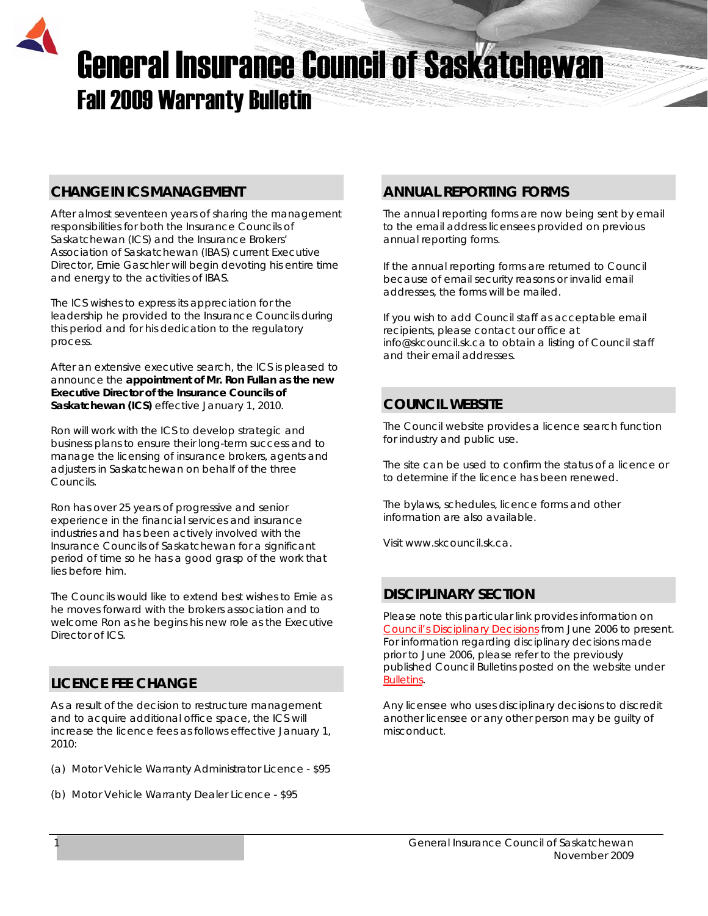# General Insurance Council of Saskatchewan Fall 2009 Warranty Bulletin

## **CHANGE IN ICS MANAGEMENT**

After almost seventeen years of sharing the management responsibilities for both the Insurance Councils of Saskatchewan (ICS) and the Insurance Brokers' Association of Saskatchewan (IBAS) current Executive Director, Ernie Gaschler will begin devoting his entire time and energy to the activities of IBAS.

The ICS wishes to express its appreciation for the leadership he provided to the Insurance Councils during this period and for his dedication to the regulatory process.

After an extensive executive search, the ICS is pleased to announce the **appointment of Mr. Ron Fullan as the new Executive Director of the Insurance Councils of Saskatchewan (ICS)** effective January 1, 2010.

Ron will work with the ICS to develop strategic and business plans to ensure their long-term success and to manage the licensing of insurance brokers, agents and adjusters in Saskatchewan on behalf of the three Councils.

Ron has over 25 years of progressive and senior experience in the financial services and insurance industries and has been actively involved with the Insurance Councils of Saskatchewan for a significant period of time so he has a good grasp of the work that lies before him.

The Councils would like to extend best wishes to Ernie as he moves forward with the brokers association and to welcome Ron as he begins his new role as the Executive Director of ICS.

# **LICENCE FEE CHANGE**

As a result of the decision to restructure management and to acquire additional office space, the ICS will increase the licence fees as follows effective January 1, 2010:

- (a) Motor Vehicle Warranty Administrator Licence \$95
- (b) Motor Vehicle Warranty Dealer Licence \$95

## **ANNUAL REPORTING FORMS**

The annual reporting forms are now being sent by email to the email address licensees provided on previous annual reporting forms.

If the annual reporting forms are returned to Council because of email security reasons or invalid email addresses, the forms will be mailed.

If you wish to add Council staff as acceptable email recipients, please contact our office at [info@skcouncil.sk.ca](mailto:info@skcouncil.sk.ca) to obtain a listing of Council staff and their email addresses.

## **COUNCIL WEBSITE**

The Council website provides a licence search function for industry and public use.

The site can be used to confirm the status of a licence or to determine if the licence has been renewed.

The bylaws, schedules, licence forms and other information are also available.

Visit [www.skcouncil.sk.ca](http://www.skcouncil.sk.ca/).

# **DISCIPLINARY SECTION**

Please note this particular link provides information on *[Council's Disciplinary Decisions](http://www.skcouncil.sk.ca/Disciplinary%20Decisions.htm)* from June 2006 to present. For information regarding disciplinary decisions made prior to June 2006, please refer to the previously published Council Bulletins posted on the website under *[Bulletins](http://www.skcouncil.sk.ca/bulletin.htm)*.

Any licensee who uses disciplinary decisions to discredit another licensee or any other person may be guilty of misconduct.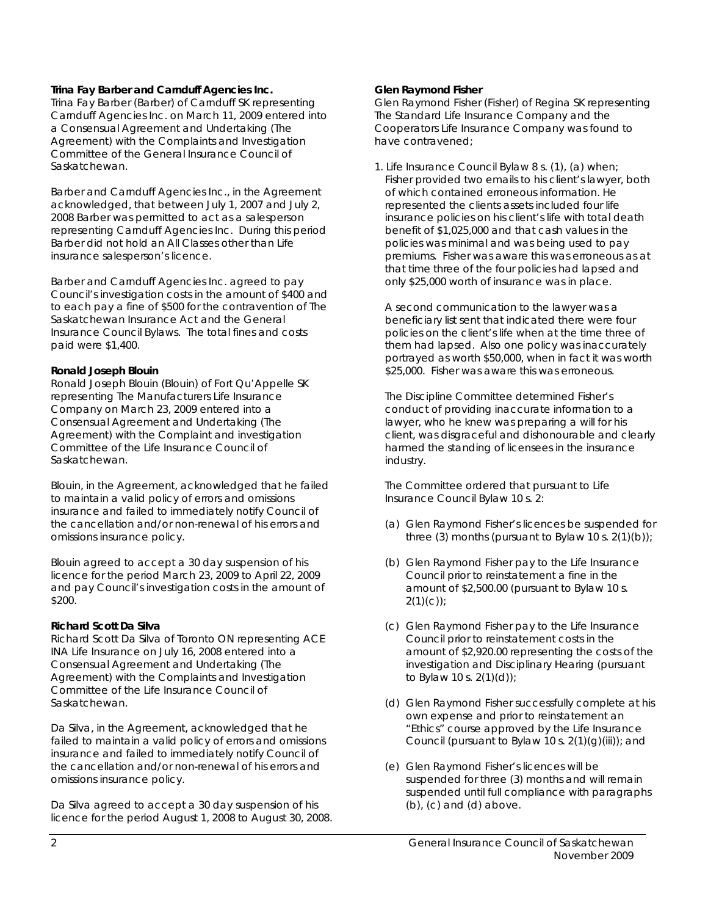#### **Trina Fay Barber and Carnduff Agencies Inc.**

Trina Fay Barber (Barber) of Carnduff SK representing Carnduff Agencies Inc. on March 11, 2009 entered into a Consensual Agreement and Undertaking (The Agreement) with the Complaints and Investigation Committee of the General Insurance Council of Saskatchewan.

Barber and Carnduff Agencies Inc., in the Agreement acknowledged, that between July 1, 2007 and July 2, 2008 Barber was permitted to act as a salesperson representing Carnduff Agencies Inc. During this period Barber did not hold an All Classes other than Life insurance salesperson's licence.

Barber and Carnduff Agencies Inc. agreed to pay Council's investigation costs in the amount of \$400 and to each pay a fine of \$500 for the contravention of *The Saskatchewan Insurance Act* and the General Insurance Council Bylaws. The total fines and costs paid were \$1,400.

#### **Ronald Joseph Blouin**

Ronald Joseph Blouin (Blouin) of Fort Qu'Appelle SK representing The Manufacturers Life Insurance Company on March 23, 2009 entered into a Consensual Agreement and Undertaking (The Agreement) with the Complaint and investigation Committee of the Life Insurance Council of Saskatchewan.

Blouin, in the Agreement, acknowledged that he failed to maintain a valid policy of errors and omissions insurance and failed to immediately notify Council of the cancellation and/or non-renewal of his errors and omissions insurance policy.

Blouin agreed to accept a 30 day suspension of his licence for the period March 23, 2009 to April 22, 2009 and pay Council's investigation costs in the amount of \$200.

#### **Richard Scott Da Silva**

Richard Scott Da Silva of Toronto ON representing ACE INA Life Insurance on July 16, 2008 entered into a Consensual Agreement and Undertaking (The Agreement) with the Complaints and Investigation Committee of the Life Insurance Council of Saskatchewan.

Da Silva, in the Agreement, acknowledged that he failed to maintain a valid policy of errors and omissions insurance and failed to immediately notify Council of the cancellation and/or non-renewal of his errors and omissions insurance policy.

Da Silva agreed to accept a 30 day suspension of his licence for the period August 1, 2008 to August 30, 2008.

#### **Glen Raymond Fisher**

Glen Raymond Fisher (Fisher) of Regina SK representing The Standard Life Insurance Company and the Cooperators Life Insurance Company was found to have contravened;

1. Life Insurance Council Bylaw 8 s. (1), (a) when; Fisher provided two emails to his client's lawyer, both of which contained erroneous information. He represented the clients assets included four life insurance policies on his client's life with total death benefit of \$1,025,000 and that cash values in the policies was minimal and was being used to pay premiums. Fisher was aware this was erroneous as at that time three of the four policies had lapsed and only \$25,000 worth of insurance was in place.

 A second communication to the lawyer was a beneficiary list sent that indicated there were four policies on the client's life when at the time three of them had lapsed. Also one policy was inaccurately portrayed as worth \$50,000, when in fact it was worth \$25,000. Fisher was aware this was erroneous.

 The Discipline Committee determined Fisher's conduct of providing inaccurate information to a lawyer, who he knew was preparing a will for his client, was disgraceful and dishonourable and clearly harmed the standing of licensees in the insurance industry.

 The Committee ordered that pursuant to Life Insurance Council Bylaw 10 s. 2:

- (a) Glen Raymond Fisher's licences be suspended for three (3) months (pursuant to Bylaw 10 s.  $2(1)(b)$ );
- (b) Glen Raymond Fisher pay to the Life Insurance Council prior to reinstatement a fine in the amount of \$2,500.00 (pursuant to Bylaw 10 s.  $2(1)(c)$ ;
- (c) Glen Raymond Fisher pay to the Life Insurance Council prior to reinstatement costs in the amount of \$2,920.00 representing the costs of the investigation and Disciplinary Hearing (pursuant to Bylaw 10 s. 2(1)(d));
- (d) Glen Raymond Fisher successfully complete at his own expense and prior to reinstatement an "Ethics" course approved by the Life Insurance Council (pursuant to Bylaw 10 s.  $2(1)(q)(iii)$ ; and
- (e) Glen Raymond Fisher's licences will be suspended for three (3) months and will remain suspended until full compliance with paragraphs (b), (c) and (d) above.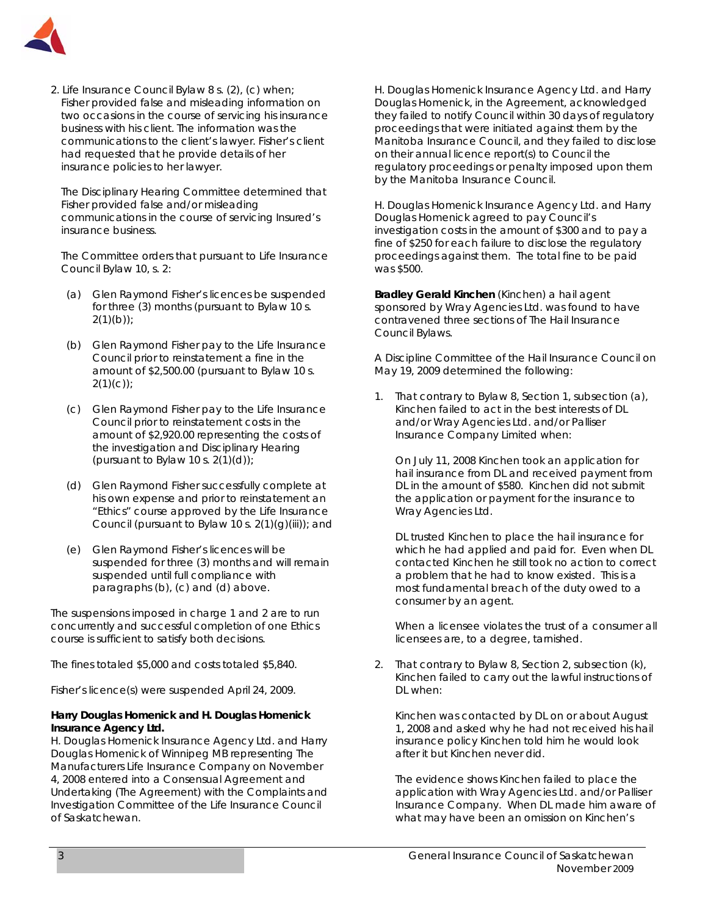

2. Life Insurance Council Bylaw 8 s. (2), (c) when; Fisher provided false and misleading information on two occasions in the course of servicing his insurance business with his client. The information was the communications to the client's lawyer. Fisher's client had requested that he provide details of her insurance policies to her lawyer.

 The Disciplinary Hearing Committee determined that Fisher provided false and/or misleading communications in the course of servicing Insured's insurance business.

 The Committee orders that pursuant to Life Insurance Council Bylaw 10, s. 2:

- (a) Glen Raymond Fisher's licences be suspended for three (3) months (pursuant to Bylaw 10 s.  $2(1)(b)$ ;
- (b) Glen Raymond Fisher pay to the Life Insurance Council prior to reinstatement a fine in the amount of \$2,500.00 (pursuant to Bylaw 10 s.  $2(1)(c)$ ;
- (c) Glen Raymond Fisher pay to the Life Insurance Council prior to reinstatement costs in the amount of \$2,920.00 representing the costs of the investigation and Disciplinary Hearing (pursuant to Bylaw 10 s.  $2(1)(d)$ );
- (d) Glen Raymond Fisher successfully complete at his own expense and prior to reinstatement an "Ethics" course approved by the Life Insurance Council (pursuant to Bylaw 10 s.  $2(1)(g)(iii)$ ; and
- (e) Glen Raymond Fisher's licences will be suspended for three (3) months and will remain suspended until full compliance with paragraphs (b), (c) and (d) above.

The suspensions imposed in charge 1 and 2 are to run concurrently and successful completion of one Ethics course is sufficient to satisfy both decisions.

The fines totaled \$5,000 and costs totaled \$5,840.

Fisher's licence(s) were suspended April 24, 2009.

#### **Harry Douglas Homenick and H. Douglas Homenick Insurance Agency Ltd.**

H. Douglas Homenick Insurance Agency Ltd. and Harry Douglas Homenick of Winnipeg MB representing The Manufacturers Life Insurance Company on November 4, 2008 entered into a Consensual Agreement and Undertaking (The Agreement) with the Complaints and Investigation Committee of the Life Insurance Council of Saskatchewan.

H. Douglas Homenick Insurance Agency Ltd. and Harry Douglas Homenick, in the Agreement, acknowledged they failed to notify Council within 30 days of regulatory proceedings that were initiated against them by the Manitoba Insurance Council, and they failed to disclose on their annual licence report(s) to Council the regulatory proceedings or penalty imposed upon them by the Manitoba Insurance Council.

H. Douglas Homenick Insurance Agency Ltd. and Harry Douglas Homenick agreed to pay Council's investigation costs in the amount of \$300 and to pay a fine of \$250 for each failure to disclose the regulatory proceedings against them. The total fine to be paid was \$500.

**Bradley Gerald Kinchen** (Kinchen) a hail agent sponsored by Wray Agencies Ltd. was found to have contravened three sections of The Hail Insurance Council Bylaws.

A Discipline Committee of the Hail Insurance Council on May 19, 2009 determined the following:

1. That contrary to Bylaw 8, Section 1, subsection (a), Kinchen failed to act in the best interests of DL and/or Wray Agencies Ltd. and/or Palliser Insurance Company Limited when:

On July 11, 2008 Kinchen took an application for hail insurance from DL and received payment from DL in the amount of \$580. Kinchen did not submit the application or payment for the insurance to Wray Agencies Ltd.

DL trusted Kinchen to place the hail insurance for which he had applied and paid for. Even when DL contacted Kinchen he still took no action to correct a problem that he had to know existed. This is a most fundamental breach of the duty owed to a consumer by an agent.

When a licensee violates the trust of a consumer all licensees are, to a degree, tarnished.

2. That contrary to Bylaw 8, Section 2, subsection (k), Kinchen failed to carry out the lawful instructions of DL when:

Kinchen was contacted by DL on or about August 1, 2008 and asked why he had not received his hail insurance policy Kinchen told him he would look after it but Kinchen never did.

The evidence shows Kinchen failed to place the application with Wray Agencies Ltd. and/or Palliser Insurance Company. When DL made him aware of what may have been an omission on Kinchen's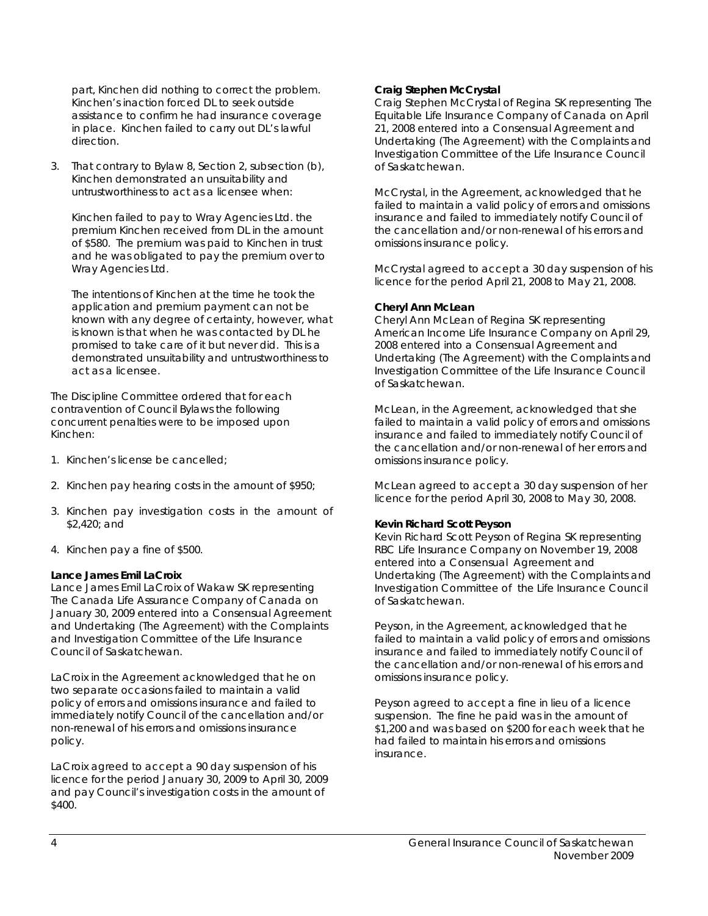part, Kinchen did nothing to correct the problem. Kinchen's inaction forced DL to seek outside assistance to confirm he had insurance coverage in place. Kinchen failed to carry out DL's lawful direction.

3. That contrary to Bylaw 8, Section 2, subsection (b), Kinchen demonstrated an unsuitability and untrustworthiness to act as a licensee when:

Kinchen failed to pay to Wray Agencies Ltd. the premium Kinchen received from DL in the amount of \$580. The premium was paid to Kinchen in trust and he was obligated to pay the premium over to Wray Agencies Ltd.

The intentions of Kinchen at the time he took the application and premium payment can not be known with any degree of certainty, however, what is known is that when he was contacted by DL he promised to take care of it but never did. This is a demonstrated unsuitability and untrustworthiness to act as a licensee.

The Discipline Committee ordered that for each contravention of Council Bylaws the following concurrent penalties were to be imposed upon Kinchen:

- 1. Kinchen's license be cancelled;
- 2. Kinchen pay hearing costs in the amount of \$950;
- 3. Kinchen pay investigation costs in the amount of \$2,420; and
- 4. Kinchen pay a fine of \$500.

#### **Lance James Emil LaCroix**

Lance James Emil LaCroix of Wakaw SK representing The Canada Life Assurance Company of Canada on January 30, 2009 entered into a Consensual Agreement and Undertaking (The Agreement) with the Complaints and Investigation Committee of the Life Insurance Council of Saskatchewan.

LaCroix in the Agreement acknowledged that he on two separate occasions failed to maintain a valid policy of errors and omissions insurance and failed to immediately notify Council of the cancellation and/or non-renewal of his errors and omissions insurance policy.

LaCroix agreed to accept a 90 day suspension of his licence for the period January 30, 2009 to April 30, 2009 and pay Council's investigation costs in the amount of \$400.

#### **Craig Stephen McCrystal**

Craig Stephen McCrystal of Regina SK representing The Equitable Life Insurance Company of Canada on April 21, 2008 entered into a Consensual Agreement and Undertaking (The Agreement) with the Complaints and Investigation Committee of the Life Insurance Council of Saskatchewan.

McCrystal, in the Agreement, acknowledged that he failed to maintain a valid policy of errors and omissions insurance and failed to immediately notify Council of the cancellation and/or non-renewal of his errors and omissions insurance policy.

McCrystal agreed to accept a 30 day suspension of his licence for the period April 21, 2008 to May 21, 2008.

#### **Cheryl Ann McLean**

Cheryl Ann McLean of Regina SK representing American Income Life Insurance Company on April 29, 2008 entered into a Consensual Agreement and Undertaking (The Agreement) with the Complaints and Investigation Committee of the Life Insurance Council of Saskatchewan.

McLean, in the Agreement, acknowledged that she failed to maintain a valid policy of errors and omissions insurance and failed to immediately notify Council of the cancellation and/or non-renewal of her errors and omissions insurance policy.

McLean agreed to accept a 30 day suspension of her licence for the period April 30, 2008 to May 30, 2008.

#### **Kevin Richard Scott Peyson**

Kevin Richard Scott Peyson of Regina SK representing RBC Life Insurance Company on November 19, 2008 entered into a Consensual Agreement and Undertaking (The Agreement) with the Complaints and Investigation Committee of the Life Insurance Council of Saskatchewan.

Peyson, in the Agreement, acknowledged that he failed to maintain a valid policy of errors and omissions insurance and failed to immediately notify Council of the cancellation and/or non-renewal of his errors and omissions insurance policy.

Peyson agreed to accept a fine in lieu of a licence suspension. The fine he paid was in the amount of \$1,200 and was based on \$200 for each week that he had failed to maintain his errors and omissions insurance.